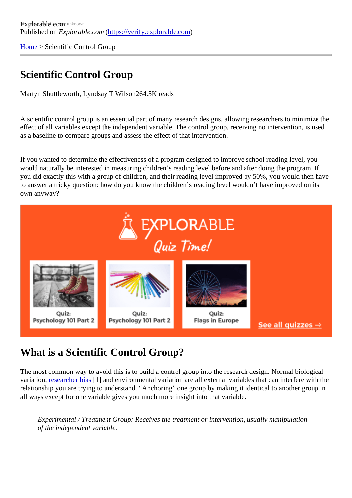[Home](https://verify.explorable.com/)> Scientific Control Group

## Scientific Control Group

Martyn Shuttleworth, Lyndsay T Wils@64.5K reads

A scientific control group is an essential part of many research designs, allowing researchers to minimize to effect of all variables except the independent variable. The control group, receiving no intervention, is used as a baseline to compare groups and assess the effect of that intervention.

If you wanted to determine the effectiveness of a program designed to improve school reading level, you would naturally be interested in measuring children's reading level before and after doing the program. If you did exactly this with a group of children, and their reading level improved by 50%, you would then hav to answer a tricky question: how do you know the children's reading level wouldn't have improved on its own anyway?

## What is a Scientific Control Group?

The most common way to avoid this is to build a control group into the research design. Normal biological variation, [researcher bia](https://explorable.com/research-bias)<sup>[4]</sup> and environmental variation are all external variables that can interfere with the relationship you are trying to understand. "Anchoring" one group by making it identical to another group in all ways except for one variable gives you much more insight into that variable.

Experimental / Treatment Group: Receives the treatment or intervention, usually manipulation of the independent variable.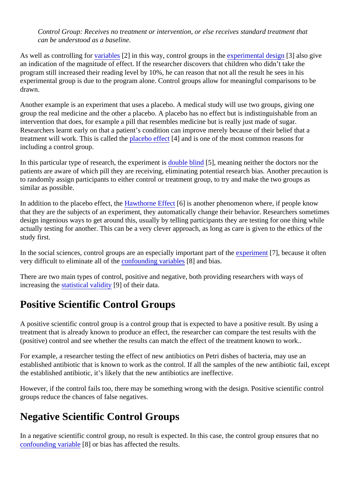Control Group: Receives no treatment or intervention, or else receives standard treatment that can be understood as a baseline.

As well as controlling for ariables [2] in this way, control groups in t[he experimental desig](https://explorable.com/design-of-experiment)n 3] also give an indication of the magnitude of effect. If the researcher discovers that children who didn't take the program still increased their reading level by 10%, he can reason that not all the result he sees in his experimental group is due to the program alone. Control groups allow for meaningful comparisons to be drawn.

Another example is an experiment that uses a placebo. A medical study will use two groups, giving one group the real medicine and the other a placebo. A placebo has no effect but is indistinguishable from an intervention that does, for example a pill that resembles medicine but is really just made of sugar. Researchers learnt early on that a patient's condition can improve merely because of their belief that a treatment will work. This is called the acebo effect4] and is one of the most common reasons for including a control group.

In this particular type of research, the experiment is blind [5], meaning neither the doctors nor the patients are aware of which pill they are receiving, eliminating potential research bias. Another precaution to randomly assign participants to either control or treatment group, to try and make the two groups as similar as possible.

In addition to the placebo effect, the wthorne Effect<sup>6</sup> is another phenomenon where, if people know that they are the subjects of an experiment, they automatically change their behavior. Researchers sometimes design ingenious ways to get around this, usually by telling participants they are testing for one thing while actually testing for another. This can be a very clever approach, as long as care is given to the ethics of th study first.

In the social sciences, control groups are an especially important partex periment [7], because it often very difficult to eliminate all of the onfounding variable<sup>8</sup>] and bias.

There are two main types of control, positive and negative, both providing researchers with ways of  $increasing$  th[e statistical validity](https://explorable.com/statistical-validity)[9] of their data.

## Positive Scientific Control Groups

A positive scientific control group is a control group that is expected to have a positive result. By using a treatment that is already known to produce an effect, the researcher can compare the test results with the (positive) control and see whether the results can match the effect of the treatment known to work..

For example, a researcher testing the effect of new antibiotics on Petri dishes of bacteria, may use an established antibiotic that is known to work as the control. If all the samples of the new antibiotic fail, exce the established antibiotic, it's likely that the new antibiotics are ineffective.

However, if the control fails too, there may be something wrong with the design. Positive scientific control groups reduce the chances of false negatives.

## Negative Scientific Control Groups

In a negative scientific control group, no result is expected. In this case, the control group ensures that no [confounding variabl](https://explorable.com/confounding-variables) $[8]$  or bias has affected the results.